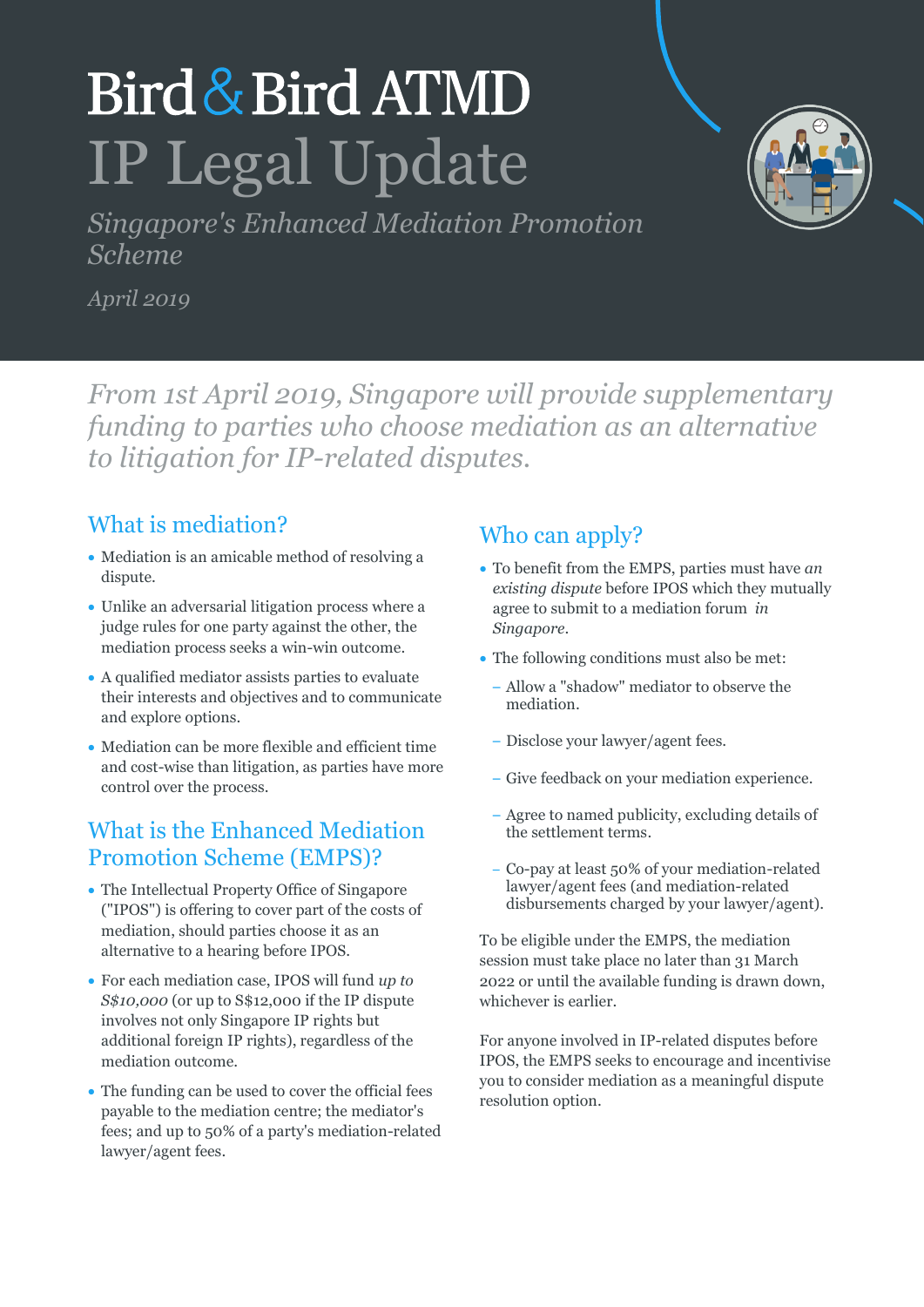# Bird & Bird ATMD IP Legal Update

*Singapore's Enhanced Mediation Promotion Scheme*

*April 2019*

*From 1st April 2019, Singapore will provide supplementary funding to parties who choose mediation as an alternative to litigation for IP-related disputes.*

#### What is mediation?

- Mediation is an amicable method of resolving a dispute.
- Unlike an adversarial litigation process where a judge rules for one party against the other, the mediation process seeks a win-win outcome.
- A qualified mediator assists parties to evaluate their interests and objectives and to communicate and explore options.
- Mediation can be more flexible and efficient time and cost-wise than litigation, as parties have more control over the process.

#### What is the Enhanced Mediation Promotion Scheme (EMPS)?

- The Intellectual Property Office of Singapore ("IPOS") is offering to cover part of the costs of mediation, should parties choose it as an alternative to a hearing before IPOS.
- For each mediation case, IPOS will fund *up to S\$10,000* (or up to S\$12,000 if the IP dispute involves not only Singapore IP rights but additional foreign IP rights), regardless of the mediation outcome.
- The funding can be used to cover the official fees payable to the mediation centre; the mediator's fees; and up to 50% of a party's mediation-related lawyer/agent fees.

### Who can apply?

- To benefit from the EMPS, parties must have *an existing dispute* before IPOS which they mutually agree to submit to a mediation forum *in Singapore*.
- The following conditions must also be met:
	- Allow a "shadow" mediator to observe the mediation.
	- Disclose your lawyer/agent fees.
	- Give feedback on your mediation experience.
	- Agree to named publicity, excluding details of the settlement terms.
	- Co-pay at least 50% of your mediation-related lawyer/agent fees (and mediation-related disbursements charged by your lawyer/agent).

To be eligible under the EMPS, the mediation session must take place no later than 31 March 2022 or until the available funding is drawn down, whichever is earlier.

For anyone involved in IP-related disputes before IPOS, the EMPS seeks to encourage and incentivise you to consider mediation as a meaningful dispute resolution option.